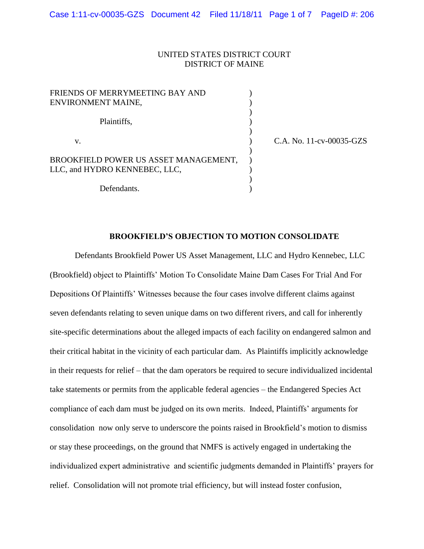## UNITED STATES DISTRICT COURT DISTRICT OF MAINE

| FRIENDS OF MERRYMEETING BAY AND<br>ENVIRONMENT MAINE,                  |                |
|------------------------------------------------------------------------|----------------|
| Plaintiffs,                                                            |                |
| v.                                                                     | $C.A.$ No. 11- |
| BROOKFIELD POWER US ASSET MANAGEMENT,<br>LLC, and HYDRO KENNEBEC, LLC, |                |
| Defendants.                                                            |                |

 $cv$ -00035-GZS

### **BROOKFIELD'S OBJECTION TO MOTION CONSOLIDATE**

Defendants Brookfield Power US Asset Management, LLC and Hydro Kennebec, LLC (Brookfield) object to Plaintiffs' Motion To Consolidate Maine Dam Cases For Trial And For Depositions Of Plaintiffs' Witnesses because the four cases involve different claims against seven defendants relating to seven unique dams on two different rivers, and call for inherently site-specific determinations about the alleged impacts of each facility on endangered salmon and their critical habitat in the vicinity of each particular dam. As Plaintiffs implicitly acknowledge in their requests for relief – that the dam operators be required to secure individualized incidental take statements or permits from the applicable federal agencies – the Endangered Species Act compliance of each dam must be judged on its own merits. Indeed, Plaintiffs' arguments for consolidation now only serve to underscore the points raised in Brookfield's motion to dismiss or stay these proceedings, on the ground that NMFS is actively engaged in undertaking the individualized expert administrative and scientific judgments demanded in Plaintiffs' prayers for relief. Consolidation will not promote trial efficiency, but will instead foster confusion,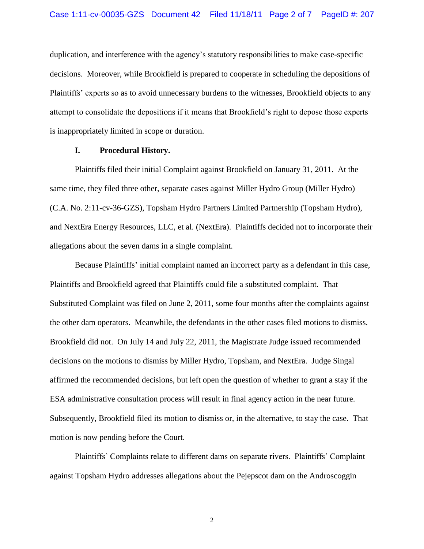duplication, and interference with the agency's statutory responsibilities to make case-specific decisions. Moreover, while Brookfield is prepared to cooperate in scheduling the depositions of Plaintiffs' experts so as to avoid unnecessary burdens to the witnesses, Brookfield objects to any attempt to consolidate the depositions if it means that Brookfield's right to depose those experts is inappropriately limited in scope or duration.

### **I. Procedural History.**

Plaintiffs filed their initial Complaint against Brookfield on January 31, 2011. At the same time, they filed three other, separate cases against Miller Hydro Group (Miller Hydro) (C.A. No. 2:11-cv-36-GZS), Topsham Hydro Partners Limited Partnership (Topsham Hydro), and NextEra Energy Resources, LLC, et al. (NextEra). Plaintiffs decided not to incorporate their allegations about the seven dams in a single complaint.

Because Plaintiffs' initial complaint named an incorrect party as a defendant in this case, Plaintiffs and Brookfield agreed that Plaintiffs could file a substituted complaint. That Substituted Complaint was filed on June 2, 2011, some four months after the complaints against the other dam operators. Meanwhile, the defendants in the other cases filed motions to dismiss. Brookfield did not. On July 14 and July 22, 2011, the Magistrate Judge issued recommended decisions on the motions to dismiss by Miller Hydro, Topsham, and NextEra. Judge Singal affirmed the recommended decisions, but left open the question of whether to grant a stay if the ESA administrative consultation process will result in final agency action in the near future. Subsequently, Brookfield filed its motion to dismiss or, in the alternative, to stay the case. That motion is now pending before the Court.

Plaintiffs' Complaints relate to different dams on separate rivers. Plaintiffs' Complaint against Topsham Hydro addresses allegations about the Pejepscot dam on the Androscoggin

2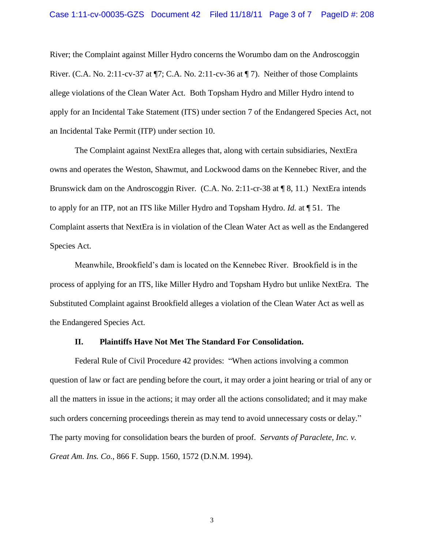River; the Complaint against Miller Hydro concerns the Worumbo dam on the Androscoggin River. (C.A. No. 2:11-cv-37 at ¶7; C.A. No. 2:11-cv-36 at ¶ 7). Neither of those Complaints allege violations of the Clean Water Act. Both Topsham Hydro and Miller Hydro intend to apply for an Incidental Take Statement (ITS) under section 7 of the Endangered Species Act, not an Incidental Take Permit (ITP) under section 10.

The Complaint against NextEra alleges that, along with certain subsidiaries, NextEra owns and operates the Weston, Shawmut, and Lockwood dams on the Kennebec River, and the Brunswick dam on the Androscoggin River. (C.A. No. 2:11-cr-38 at ¶ 8, 11.) NextEra intends to apply for an ITP, not an ITS like Miller Hydro and Topsham Hydro. *Id.* at ¶ 51. The Complaint asserts that NextEra is in violation of the Clean Water Act as well as the Endangered Species Act.

Meanwhile, Brookfield's dam is located on the Kennebec River. Brookfield is in the process of applying for an ITS, like Miller Hydro and Topsham Hydro but unlike NextEra. The Substituted Complaint against Brookfield alleges a violation of the Clean Water Act as well as the Endangered Species Act.

#### **II. Plaintiffs Have Not Met The Standard For Consolidation.**

Federal Rule of Civil Procedure 42 provides: "When actions involving a common question of law or fact are pending before the court, it may order a joint hearing or trial of any or all the matters in issue in the actions; it may order all the actions consolidated; and it may make such orders concerning proceedings therein as may tend to avoid unnecessary costs or delay." The party moving for consolidation bears the burden of proof. *Servants of Paraclete, Inc. v. Great Am. Ins. Co.*, 866 F. Supp. 1560, 1572 (D.N.M. 1994).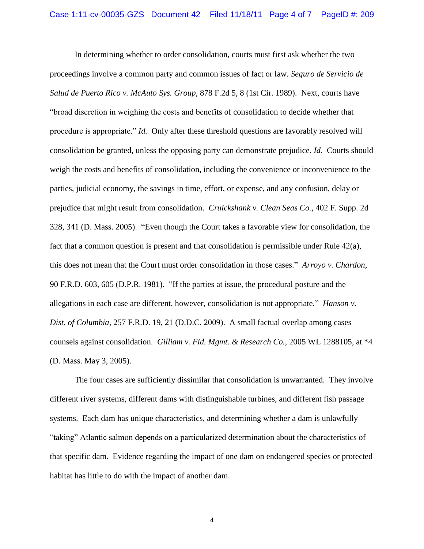In determining whether to order consolidation, courts must first ask whether the two proceedings involve a common party and common issues of fact or law. *Seguro de Servicio de Salud de Puerto Rico v. McAuto Sys. Group,* 878 F.2d 5, 8 (1st Cir. 1989). Next, courts have "broad discretion in weighing the costs and benefits of consolidation to decide whether that procedure is appropriate." *Id.* Only after these threshold questions are favorably resolved will consolidation be granted, unless the opposing party can demonstrate prejudice. *Id.* Courts should weigh the costs and benefits of consolidation, including the convenience or inconvenience to the parties, judicial economy, the savings in time, effort, or expense, and any confusion, delay or prejudice that might result from consolidation. *Cruickshank v. Clean Seas Co.*, 402 F. Supp. 2d 328, 341 (D. Mass. 2005). "Even though the Court takes a favorable view for consolidation, the fact that a common question is present and that consolidation is permissible under Rule 42(a), this does not mean that the Court must order consolidation in those cases." *Arroyo v. Chardon*, 90 F.R.D. 603, 605 (D.P.R. 1981). "If the parties at issue, the procedural posture and the allegations in each case are different, however, consolidation is not appropriate." *Hanson v. Dist. of Columbia*, 257 F.R.D. 19, 21 (D.D.C. 2009). A small factual overlap among cases counsels against consolidation. *Gilliam v. Fid. Mgmt. & Research Co.*, 2005 WL 1288105, at \*4 (D. Mass. May 3, 2005).

The four cases are sufficiently dissimilar that consolidation is unwarranted. They involve different river systems, different dams with distinguishable turbines, and different fish passage systems. Each dam has unique characteristics, and determining whether a dam is unlawfully "taking" Atlantic salmon depends on a particularized determination about the characteristics of that specific dam. Evidence regarding the impact of one dam on endangered species or protected habitat has little to do with the impact of another dam.

4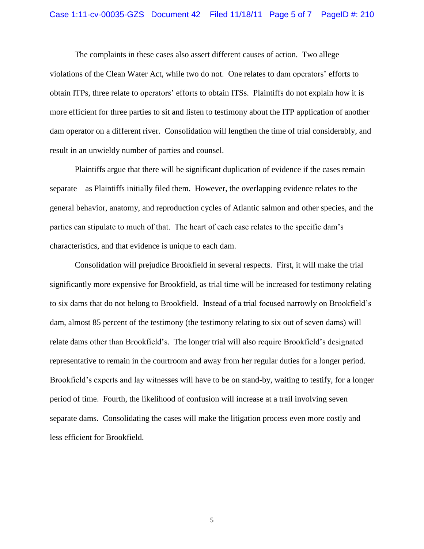#### Case 1:11-cv-00035-GZS Document 42 Filed 11/18/11 Page 5 of 7 PageID #: 210

The complaints in these cases also assert different causes of action. Two allege violations of the Clean Water Act, while two do not. One relates to dam operators' efforts to obtain ITPs, three relate to operators' efforts to obtain ITSs. Plaintiffs do not explain how it is more efficient for three parties to sit and listen to testimony about the ITP application of another dam operator on a different river. Consolidation will lengthen the time of trial considerably, and result in an unwieldy number of parties and counsel.

Plaintiffs argue that there will be significant duplication of evidence if the cases remain separate – as Plaintiffs initially filed them. However, the overlapping evidence relates to the general behavior, anatomy, and reproduction cycles of Atlantic salmon and other species, and the parties can stipulate to much of that. The heart of each case relates to the specific dam's characteristics, and that evidence is unique to each dam.

Consolidation will prejudice Brookfield in several respects. First, it will make the trial significantly more expensive for Brookfield, as trial time will be increased for testimony relating to six dams that do not belong to Brookfield. Instead of a trial focused narrowly on Brookfield's dam, almost 85 percent of the testimony (the testimony relating to six out of seven dams) will relate dams other than Brookfield's. The longer trial will also require Brookfield's designated representative to remain in the courtroom and away from her regular duties for a longer period. Brookfield's experts and lay witnesses will have to be on stand-by, waiting to testify, for a longer period of time. Fourth, the likelihood of confusion will increase at a trail involving seven separate dams. Consolidating the cases will make the litigation process even more costly and less efficient for Brookfield.

5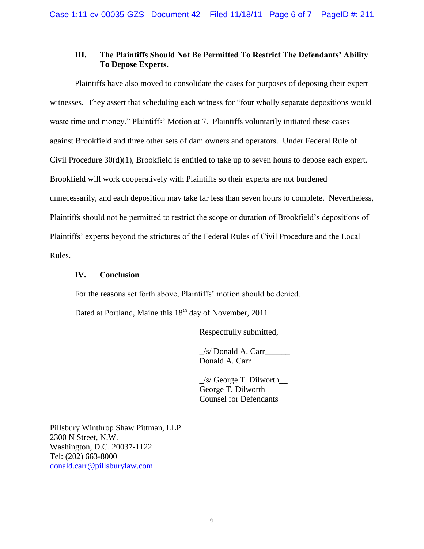## **III. The Plaintiffs Should Not Be Permitted To Restrict The Defendants' Ability To Depose Experts.**

Plaintiffs have also moved to consolidate the cases for purposes of deposing their expert witnesses. They assert that scheduling each witness for "four wholly separate depositions would waste time and money." Plaintiffs' Motion at 7. Plaintiffs voluntarily initiated these cases against Brookfield and three other sets of dam owners and operators. Under Federal Rule of Civil Procedure 30(d)(1), Brookfield is entitled to take up to seven hours to depose each expert. Brookfield will work cooperatively with Plaintiffs so their experts are not burdened unnecessarily, and each deposition may take far less than seven hours to complete. Nevertheless, Plaintiffs should not be permitted to restrict the scope or duration of Brookfield's depositions of Plaintiffs' experts beyond the strictures of the Federal Rules of Civil Procedure and the Local Rules.

## **IV. Conclusion**

For the reasons set forth above, Plaintiffs' motion should be denied.

Dated at Portland, Maine this 18<sup>th</sup> day of November, 2011.

Respectfully submitted,

\_/s/ Donald A. Carr\_\_\_\_\_\_ Donald A. Carr

\_/s/ George T. Dilworth\_\_ George T. Dilworth Counsel for Defendants

Pillsbury Winthrop Shaw Pittman, LLP 2300 N Street, N.W. Washington, D.C. 20037-1122 Tel: (202) 663-8000 [donald.carr@pillsburylaw.com](mailto:donald.carr@pillsburylaw.com)